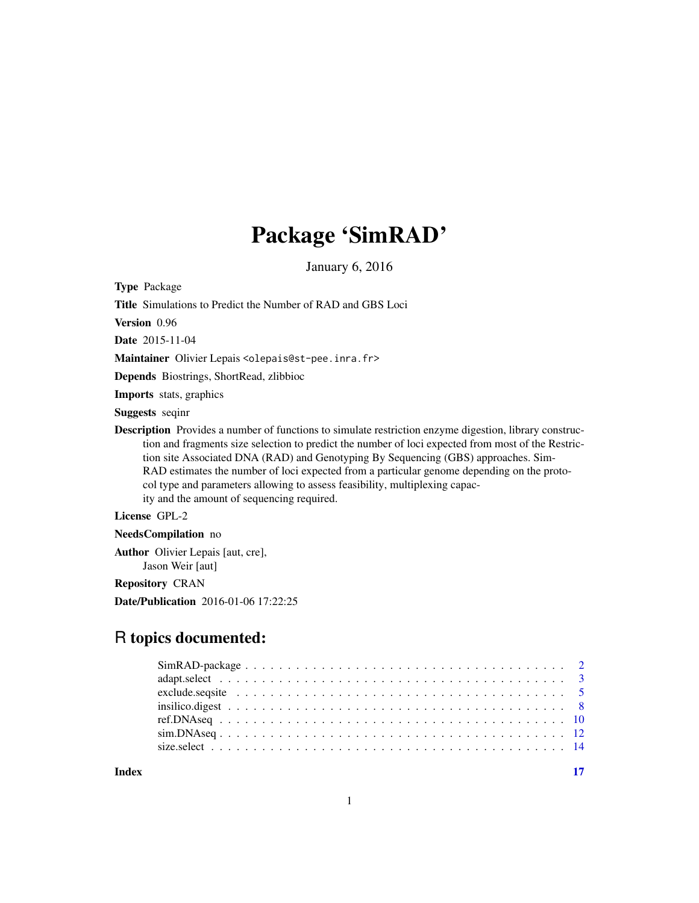## Package 'SimRAD'

January 6, 2016

Type Package

Title Simulations to Predict the Number of RAD and GBS Loci

Version 0.96

Date 2015-11-04

Maintainer Olivier Lepais <olepais@st-pee.inra.fr>

Depends Biostrings, ShortRead, zlibbioc

Imports stats, graphics

Suggests seqinr

Description Provides a number of functions to simulate restriction enzyme digestion, library construction and fragments size selection to predict the number of loci expected from most of the Restriction site Associated DNA (RAD) and Genotyping By Sequencing (GBS) approaches. Sim-RAD estimates the number of loci expected from a particular genome depending on the protocol type and parameters allowing to assess feasibility, multiplexing capacity and the amount of sequencing required.

#### License GPL-2

NeedsCompilation no

Author Olivier Lepais [aut, cre], Jason Weir [aut]

Repository CRAN

Date/Publication 2016-01-06 17:22:25

### R topics documented:

**Index** [17](#page-16-0)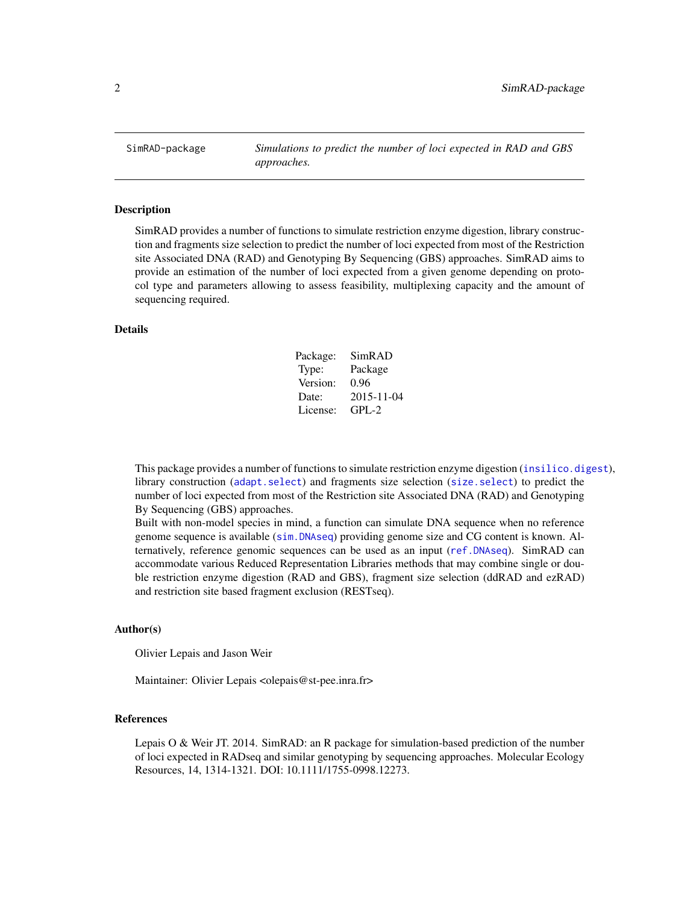<span id="page-1-0"></span>SimRAD-package *Simulations to predict the number of loci expected in RAD and GBS approaches.*

#### **Description**

SimRAD provides a number of functions to simulate restriction enzyme digestion, library construction and fragments size selection to predict the number of loci expected from most of the Restriction site Associated DNA (RAD) and Genotyping By Sequencing (GBS) approaches. SimRAD aims to provide an estimation of the number of loci expected from a given genome depending on protocol type and parameters allowing to assess feasibility, multiplexing capacity and the amount of sequencing required.

#### Details

| Package: | SimRAD     |
|----------|------------|
| Type:    | Package    |
| Version: | 0.96       |
| Date:    | 2015-11-04 |
| License: | $GPI - 2$  |

This package provides a number of functions to simulate restriction enzyme digestion ([insilico.digest](#page-7-1)), library construction ([adapt.select](#page-2-1)) and fragments size selection ([size.select](#page-13-1)) to predict the number of loci expected from most of the Restriction site Associated DNA (RAD) and Genotyping By Sequencing (GBS) approaches.

Built with non-model species in mind, a function can simulate DNA sequence when no reference genome sequence is available ([sim.DNAseq](#page-11-1)) providing genome size and CG content is known. Alternatively, reference genomic sequences can be used as an input ([ref.DNAseq](#page-9-1)). SimRAD can accommodate various Reduced Representation Libraries methods that may combine single or double restriction enzyme digestion (RAD and GBS), fragment size selection (ddRAD and ezRAD) and restriction site based fragment exclusion (RESTseq).

#### Author(s)

Olivier Lepais and Jason Weir

Maintainer: Olivier Lepais <olepais@st-pee.inra.fr>

#### References

Lepais O & Weir JT. 2014. SimRAD: an R package for simulation-based prediction of the number of loci expected in RADseq and similar genotyping by sequencing approaches. Molecular Ecology Resources, 14, 1314-1321. DOI: 10.1111/1755-0998.12273.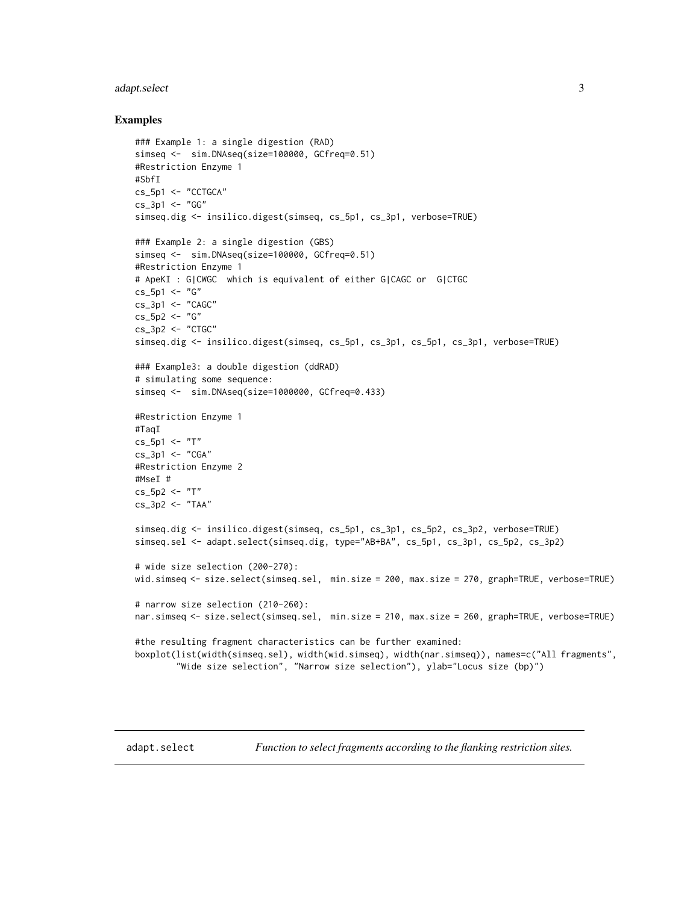#### <span id="page-2-0"></span>adapt.select 3

#### Examples

```
### Example 1: a single digestion (RAD)
simseq <- sim.DNAseq(size=100000, GCfreq=0.51)
#Restriction Enzyme 1
#SbfI
cs_5p1 <- "CCTGCA"
cs_3p1 <- "GG"
simseq.dig <- insilico.digest(simseq, cs_5p1, cs_3p1, verbose=TRUE)
### Example 2: a single digestion (GBS)
simseq <- sim.DNAseq(size=100000, GCfreq=0.51)
#Restriction Enzyme 1
# ApeKI : G|CWGC which is equivalent of either G|CAGC or G|CTGC
cs_5p1 < - "G"
cs 3p1 \leq "CAGC"
cs_5p2 < - "G"
cs_3p2 <- "CTGC"
simseq.dig <- insilico.digest(simseq, cs_5p1, cs_3p1, cs_5p1, cs_3p1, verbose=TRUE)
### Example3: a double digestion (ddRAD)
# simulating some sequence:
simseq <- sim.DNAseq(size=1000000, GCfreq=0.433)
#Restriction Enzyme 1
#TaqI
cs_5p1 <- "T"
cs_3p1 <- "CGA"
#Restriction Enzyme 2
#MseI #
cs_5p2 < - "T"
cs_3p2 <- "TAA"
simseq.dig <- insilico.digest(simseq, cs_5p1, cs_3p1, cs_5p2, cs_3p2, verbose=TRUE)
simseq.sel <- adapt.select(simseq.dig, type="AB+BA", cs_5p1, cs_3p1, cs_5p2, cs_3p2)
# wide size selection (200-270):
wid.simseq <- size.select(simseq.sel, min.size = 200, max.size = 270, graph=TRUE, verbose=TRUE)
# narrow size selection (210-260):
nar.simseq <- size.select(simseq.sel, min.size = 210, max.size = 260, graph=TRUE, verbose=TRUE)
#the resulting fragment characteristics can be further examined:
boxplot(list(width(simseq.sel), width(wid.simseq), width(nar.simseq)), names=c("All fragments",
        "Wide size selection", "Narrow size selection"), ylab="Locus size (bp)")
```
<span id="page-2-1"></span>

adapt.select *Function to select fragments according to the flanking restriction sites.*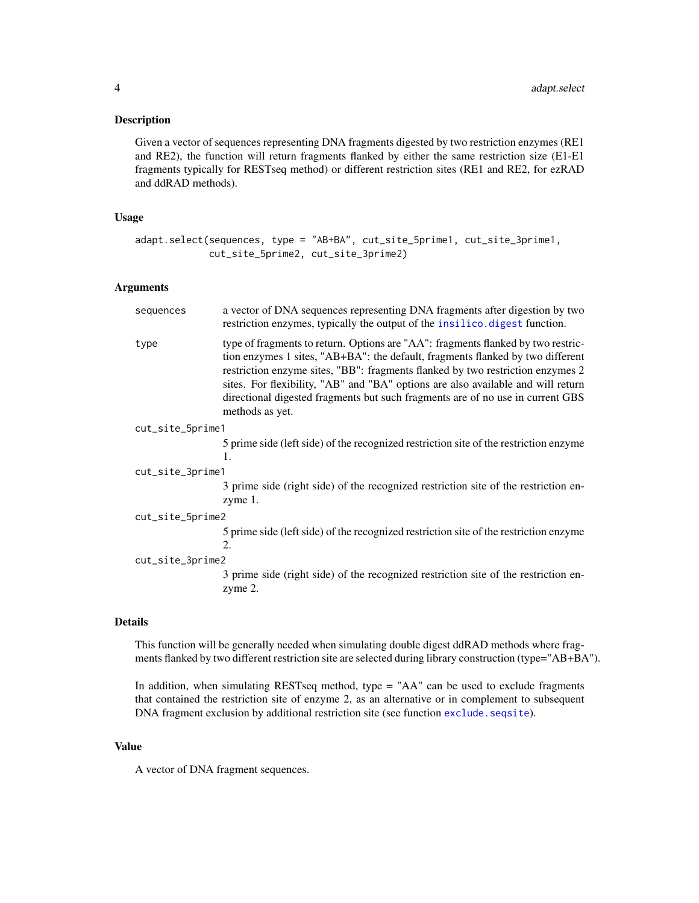#### <span id="page-3-0"></span>Description

Given a vector of sequences representing DNA fragments digested by two restriction enzymes (RE1 and RE2), the function will return fragments flanked by either the same restriction size (E1-E1 fragments typically for RESTseq method) or different restriction sites (RE1 and RE2, for ezRAD and ddRAD methods).

#### Usage

```
adapt.select(sequences, type = "AB+BA", cut_site_5prime1, cut_site_3prime1,
            cut_site_5prime2, cut_site_3prime2)
```
#### Arguments

| sequences        | a vector of DNA sequences representing DNA fragments after digestion by two<br>restriction enzymes, typically the output of the insilico.digest function.                                                                                                                                                                                                                                                                                     |
|------------------|-----------------------------------------------------------------------------------------------------------------------------------------------------------------------------------------------------------------------------------------------------------------------------------------------------------------------------------------------------------------------------------------------------------------------------------------------|
| type             | type of fragments to return. Options are "AA": fragments flanked by two restric-<br>tion enzymes 1 sites, "AB+BA": the default, fragments flanked by two different<br>restriction enzyme sites, "BB": fragments flanked by two restriction enzymes 2<br>sites. For flexibility, "AB" and "BA" options are also available and will return<br>directional digested fragments but such fragments are of no use in current GBS<br>methods as yet. |
| cut_site_5prime1 |                                                                                                                                                                                                                                                                                                                                                                                                                                               |
|                  | 5 prime side (left side) of the recognized restriction site of the restriction enzyme<br>1.                                                                                                                                                                                                                                                                                                                                                   |
| cut_site_3prime1 |                                                                                                                                                                                                                                                                                                                                                                                                                                               |
|                  | 3 prime side (right side) of the recognized restriction site of the restriction en-<br>zyme 1.                                                                                                                                                                                                                                                                                                                                                |
| cut_site_5prime2 |                                                                                                                                                                                                                                                                                                                                                                                                                                               |
|                  | 5 prime side (left side) of the recognized restriction site of the restriction enzyme<br>2.                                                                                                                                                                                                                                                                                                                                                   |
| cut_site_3prime2 |                                                                                                                                                                                                                                                                                                                                                                                                                                               |
|                  | 3 prime side (right side) of the recognized restriction site of the restriction en-<br>zyme 2.                                                                                                                                                                                                                                                                                                                                                |
|                  |                                                                                                                                                                                                                                                                                                                                                                                                                                               |

#### Details

This function will be generally needed when simulating double digest ddRAD methods where fragments flanked by two different restriction site are selected during library construction (type="AB+BA").

In addition, when simulating RESTseq method, type = "AA" can be used to exclude fragments that contained the restriction site of enzyme 2, as an alternative or in complement to subsequent DNA fragment exclusion by additional restriction site (see function [exclude.seqsite](#page-4-1)).

#### Value

A vector of DNA fragment sequences.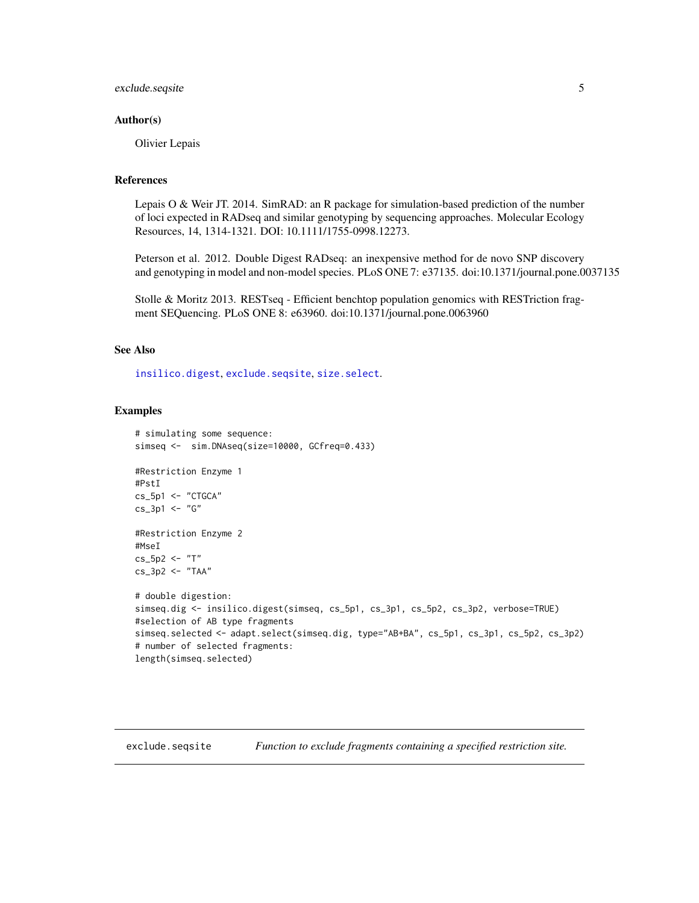#### <span id="page-4-0"></span>exclude.seqsite 5

#### Author(s)

Olivier Lepais

#### References

Lepais O & Weir JT. 2014. SimRAD: an R package for simulation-based prediction of the number of loci expected in RADseq and similar genotyping by sequencing approaches. Molecular Ecology Resources, 14, 1314-1321. DOI: 10.1111/1755-0998.12273.

Peterson et al. 2012. Double Digest RADseq: an inexpensive method for de novo SNP discovery and genotyping in model and non-model species. PLoS ONE 7: e37135. doi:10.1371/journal.pone.0037135

Stolle & Moritz 2013. RESTseq - Efficient benchtop population genomics with RESTriction fragment SEQuencing. PLoS ONE 8: e63960. doi:10.1371/journal.pone.0063960

#### See Also

[insilico.digest](#page-7-1), [exclude.seqsite](#page-4-1), [size.select](#page-13-1).

#### Examples

```
# simulating some sequence:
simseq <- sim.DNAseq(size=10000, GCfreq=0.433)
#Restriction Enzyme 1
#PstI
cs_5p1 <- "CTGCA"
cs_3p1 <- "G"
#Restriction Enzyme 2
#MseI
cs_5p2 <- "T"
cs_3p2 <- "TAA"
# double digestion:
simseq.dig <- insilico.digest(simseq, cs_5p1, cs_3p1, cs_5p2, cs_3p2, verbose=TRUE)
#selection of AB type fragments
simseq.selected <- adapt.select(simseq.dig, type="AB+BA", cs_5p1, cs_3p1, cs_5p2, cs_3p2)
# number of selected fragments:
length(simseq.selected)
```
<span id="page-4-1"></span>exclude.seqsite *Function to exclude fragments containing a specified restriction site.*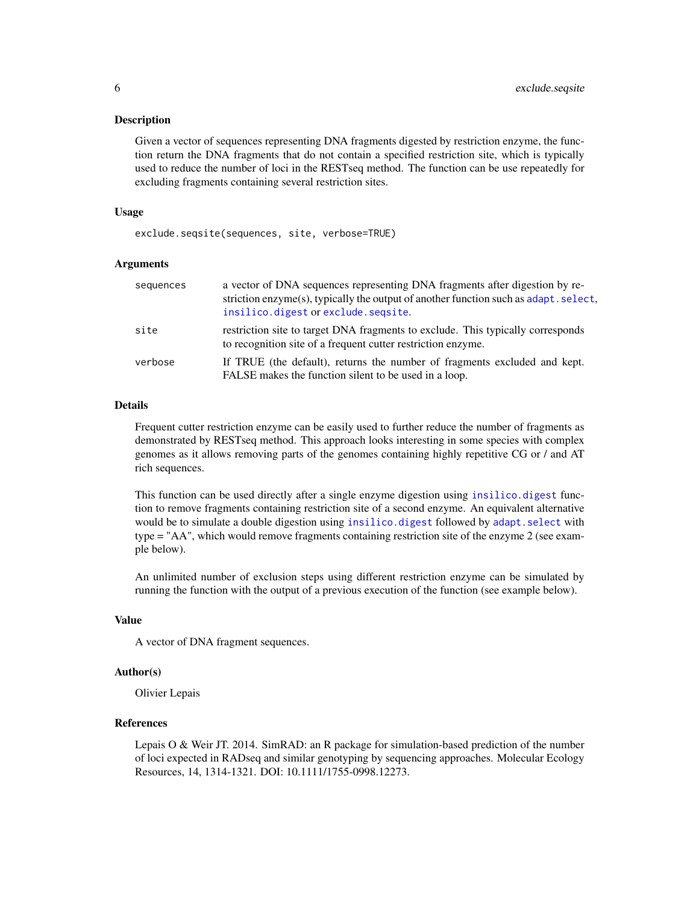#### <span id="page-5-0"></span>Description

Given a vector of sequences representing DNA fragments digested by restriction enzyme, the function return the DNA fragments that do not contain a specified restriction site, which is typically used to reduce the number of loci in the RESTseq method. The function can be use repeatedly for excluding fragments containing several restriction sites.

#### Usage

exclude.seqsite(sequences, site, verbose=TRUE)

#### Arguments

| sequences | a vector of DNA sequences representing DNA fragments after digestion by re-<br>striction enzyme(s), typically the output of another function such as adapt. select,<br>insilico.digest or exclude.seqsite. |
|-----------|------------------------------------------------------------------------------------------------------------------------------------------------------------------------------------------------------------|
| site      | restriction site to target DNA fragments to exclude. This typically corresponds<br>to recognition site of a frequent cutter restriction enzyme.                                                            |
| verbose   | If TRUE (the default), returns the number of fragments excluded and kept.<br>FALSE makes the function silent to be used in a loop.                                                                         |

#### Details

Frequent cutter restriction enzyme can be easily used to further reduce the number of fragments as demonstrated by RESTseq method. This approach looks interesting in some species with complex genomes as it allows removing parts of the genomes containing highly repetitive CG or / and AT rich sequences.

This function can be used directly after a single enzyme digestion using [insilico.digest](#page-7-1) function to remove fragments containing restriction site of a second enzyme. An equivalent alternative would be to simulate a double digestion using [insilico.digest](#page-7-1) followed by [adapt.select](#page-2-1) with type = "AA", which would remove fragments containing restriction site of the enzyme 2 (see example below).

An unlimited number of exclusion steps using different restriction enzyme can be simulated by running the function with the output of a previous execution of the function (see example below).

#### Value

A vector of DNA fragment sequences.

#### Author(s)

Olivier Lepais

#### References

Lepais O & Weir JT. 2014. SimRAD: an R package for simulation-based prediction of the number of loci expected in RADseq and similar genotyping by sequencing approaches. Molecular Ecology Resources, 14, 1314-1321. DOI: 10.1111/1755-0998.12273.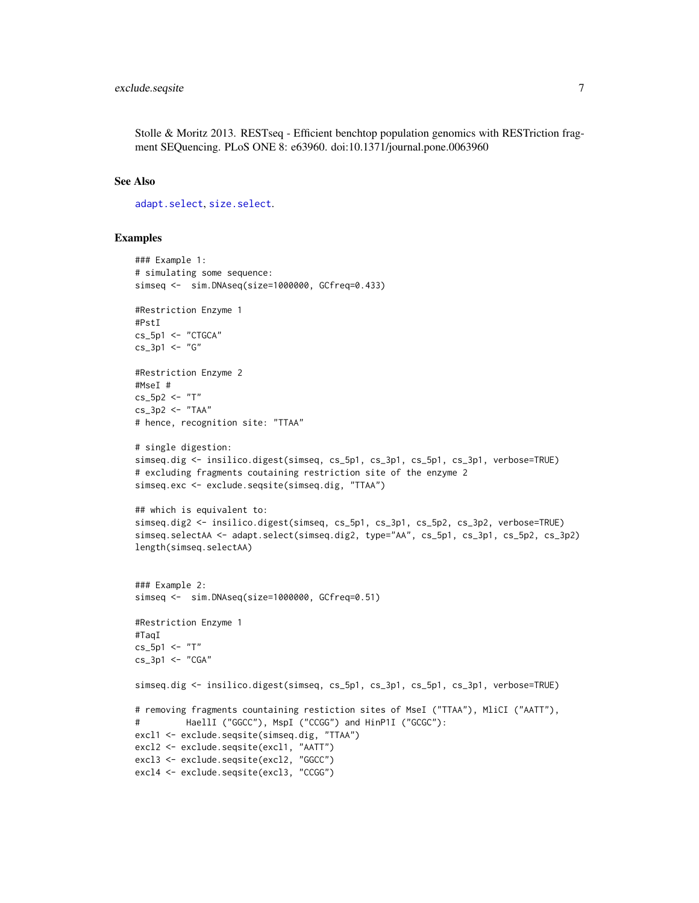<span id="page-6-0"></span>Stolle & Moritz 2013. RESTseq - Efficient benchtop population genomics with RESTriction fragment SEQuencing. PLoS ONE 8: e63960. doi:10.1371/journal.pone.0063960

#### See Also

[adapt.select](#page-2-1), [size.select](#page-13-1).

#### Examples

```
### Example 1:
# simulating some sequence:
simseq <- sim.DNAseq(size=1000000, GCfreq=0.433)
#Restriction Enzyme 1
#PstI
cs_5p1 <- "CTGCA"
cs_3p1 < - "G''#Restriction Enzyme 2
#MseI #
cs_5p2 < - "T"
cs_3p2 < - "TAA"
# hence, recognition site: "TTAA"
# single digestion:
simseq.dig <- insilico.digest(simseq, cs_5p1, cs_3p1, cs_5p1, cs_3p1, verbose=TRUE)
# excluding fragments coutaining restriction site of the enzyme 2
simseq.exc <- exclude.seqsite(simseq.dig, "TTAA")
## which is equivalent to:
simseq.dig2 <- insilico.digest(simseq, cs_5p1, cs_3p1, cs_5p2, cs_3p2, verbose=TRUE)
simseq.selectAA <- adapt.select(simseq.dig2, type="AA", cs_5p1, cs_3p1, cs_5p2, cs_3p2)
length(simseq.selectAA)
### Example 2:
simseq <- sim.DNAseq(size=1000000, GCfreq=0.51)
#Restriction Enzyme 1
#TaqI
cs_5p1 <- "T"
cs_3p1 <- "CGA"
simseq.dig <- insilico.digest(simseq, cs_5p1, cs_3p1, cs_5p1, cs_3p1, verbose=TRUE)
# removing fragments countaining restiction sites of MseI ("TTAA"), MliCI ("AATT"),
# HaellI ("GGCC"), MspI ("CCGG") and HinP1I ("GCGC"):
excl1 <- exclude.seqsite(simseq.dig, "TTAA")
excl2 <- exclude.seqsite(excl1, "AATT")
excl3 <- exclude.seqsite(excl2, "GGCC")
excl4 <- exclude.seqsite(excl3, "CCGG")
```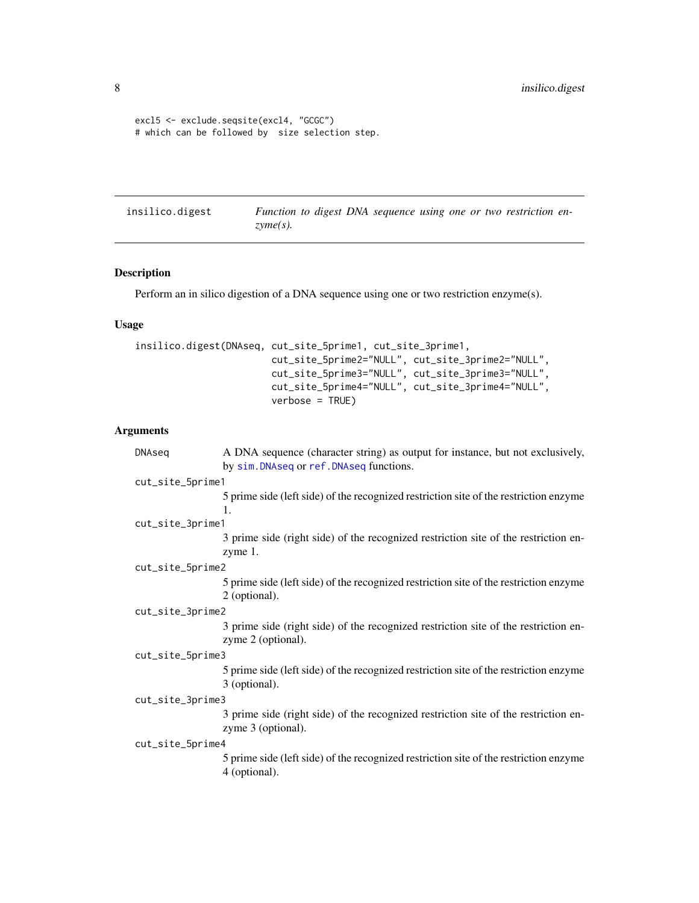```
excl5 <- exclude.seqsite(excl4, "GCGC")
# which can be followed by size selection step.
```
<span id="page-7-1"></span>insilico.digest *Function to digest DNA sequence using one or two restriction enzyme(s).*

#### Description

Perform an in silico digestion of a DNA sequence using one or two restriction enzyme(s).

#### Usage

```
insilico.digest(DNAseq, cut_site_5prime1, cut_site_3prime1,
                        cut_site_5prime2="NULL", cut_site_3prime2="NULL",
                        cut_site_5prime3="NULL", cut_site_3prime3="NULL",
                        cut_site_5prime4="NULL", cut_site_3prime4="NULL",
                        verbose = TRUE)
```
#### Arguments

| DNAseq           | A DNA sequence (character string) as output for instance, but not exclusively,<br>by sim. DNAseq or ref. DNAseq functions. |
|------------------|----------------------------------------------------------------------------------------------------------------------------|
| cut_site_5prime1 |                                                                                                                            |
|                  | 5 prime side (left side) of the recognized restriction site of the restriction enzyme<br>1.                                |
| cut_site_3prime1 |                                                                                                                            |
|                  | 3 prime side (right side) of the recognized restriction site of the restriction en-<br>zyme 1.                             |
| cut_site_5prime2 |                                                                                                                            |
|                  | 5 prime side (left side) of the recognized restriction site of the restriction enzyme<br>2 (optional).                     |
| cut_site_3prime2 |                                                                                                                            |
|                  | 3 prime side (right side) of the recognized restriction site of the restriction en-<br>zyme 2 (optional).                  |
| cut_site_5prime3 |                                                                                                                            |
|                  | 5 prime side (left side) of the recognized restriction site of the restriction enzyme<br>3 (optional).                     |
| cut_site_3prime3 |                                                                                                                            |
|                  | 3 prime side (right side) of the recognized restriction site of the restriction en-<br>zyme 3 (optional).                  |
| cut_site_5prime4 |                                                                                                                            |
|                  | 5 prime side (left side) of the recognized restriction site of the restriction enzyme<br>4 (optional).                     |
|                  |                                                                                                                            |

<span id="page-7-0"></span>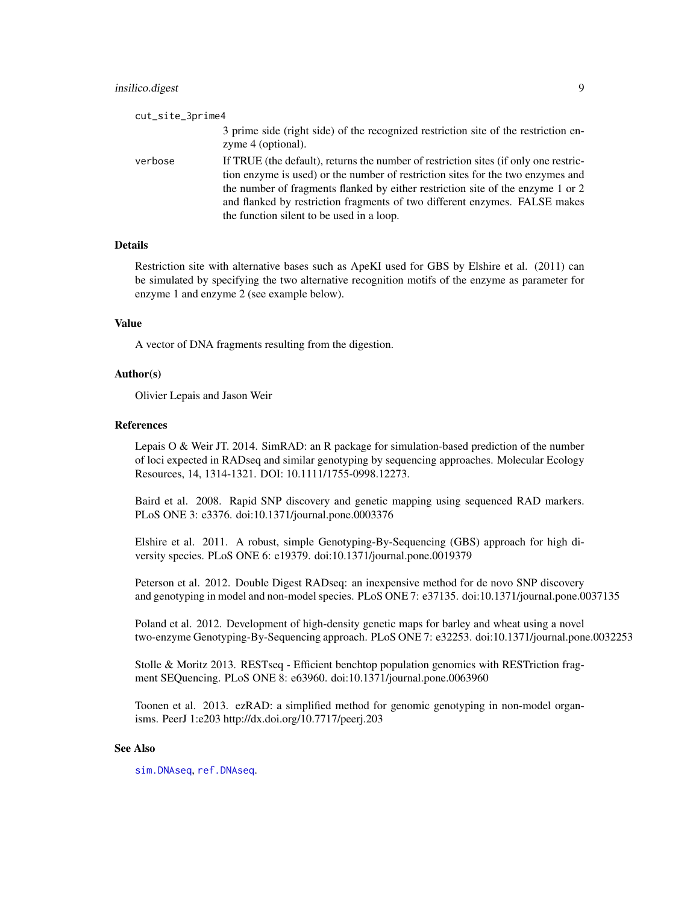<span id="page-8-0"></span>

| cut_site_3prime4 |                                                                                                                                                                                                                                                                                                                                                                                       |
|------------------|---------------------------------------------------------------------------------------------------------------------------------------------------------------------------------------------------------------------------------------------------------------------------------------------------------------------------------------------------------------------------------------|
|                  | 3 prime side (right side) of the recognized restriction site of the restriction en-<br>zyme 4 (optional).                                                                                                                                                                                                                                                                             |
| verbose          | If TRUE (the default), returns the number of restriction sites (if only one restric-<br>tion enzyme is used) or the number of restriction sites for the two enzymes and<br>the number of fragments flanked by either restriction site of the enzyme 1 or 2<br>and flanked by restriction fragments of two different enzymes. FALSE makes<br>the function silent to be used in a loop. |

#### Details

Restriction site with alternative bases such as ApeKI used for GBS by Elshire et al. (2011) can be simulated by specifying the two alternative recognition motifs of the enzyme as parameter for enzyme 1 and enzyme 2 (see example below).

#### Value

A vector of DNA fragments resulting from the digestion.

#### Author(s)

Olivier Lepais and Jason Weir

#### References

Lepais O & Weir JT. 2014. SimRAD: an R package for simulation-based prediction of the number of loci expected in RADseq and similar genotyping by sequencing approaches. Molecular Ecology Resources, 14, 1314-1321. DOI: 10.1111/1755-0998.12273.

Baird et al. 2008. Rapid SNP discovery and genetic mapping using sequenced RAD markers. PLoS ONE 3: e3376. doi:10.1371/journal.pone.0003376

Elshire et al. 2011. A robust, simple Genotyping-By-Sequencing (GBS) approach for high diversity species. PLoS ONE 6: e19379. doi:10.1371/journal.pone.0019379

Peterson et al. 2012. Double Digest RADseq: an inexpensive method for de novo SNP discovery and genotyping in model and non-model species. PLoS ONE 7: e37135. doi:10.1371/journal.pone.0037135

Poland et al. 2012. Development of high-density genetic maps for barley and wheat using a novel two-enzyme Genotyping-By-Sequencing approach. PLoS ONE 7: e32253. doi:10.1371/journal.pone.0032253

Stolle & Moritz 2013. RESTseq - Efficient benchtop population genomics with RESTriction fragment SEQuencing. PLoS ONE 8: e63960. doi:10.1371/journal.pone.0063960

Toonen et al. 2013. ezRAD: a simplified method for genomic genotyping in non-model organisms. PeerJ 1:e203 http://dx.doi.org/10.7717/peerj.203

#### See Also

[sim.DNAseq](#page-11-1), [ref.DNAseq](#page-9-1).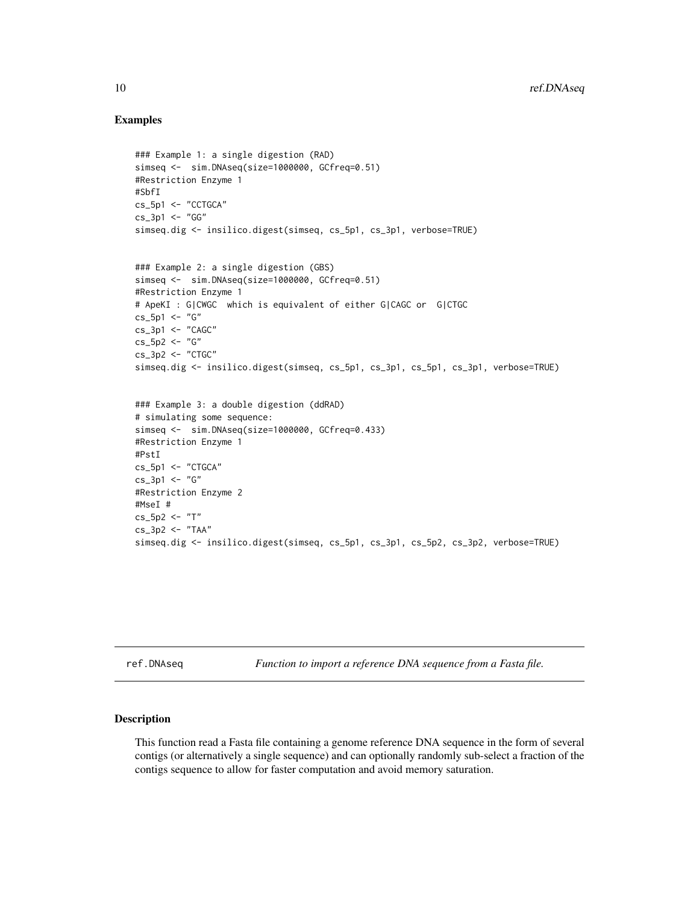#### Examples

```
### Example 1: a single digestion (RAD)
simseq <- sim.DNAseq(size=1000000, GCfreq=0.51)
#Restriction Enzyme 1
#SbfI
cs_5p1 <- "CCTGCA"
cs_3p1 < - "GG''simseq.dig <- insilico.digest(simseq, cs_5p1, cs_3p1, verbose=TRUE)
### Example 2: a single digestion (GBS)
simseq <- sim.DNAseq(size=1000000, GCfreq=0.51)
#Restriction Enzyme 1
# ApeKI : G|CWGC which is equivalent of either G|CAGC or G|CTGC
cs_5p1 < -''G''cs_3p1 < - "CAGC"
cs_5p2 <- "G"
cs_3p2 <- "CTGC"
simseq.dig <- insilico.digest(simseq, cs_5p1, cs_3p1, cs_5p1, cs_3p1, verbose=TRUE)
```

```
### Example 3: a double digestion (ddRAD)
# simulating some sequence:
simseq <- sim.DNAseq(size=1000000, GCfreq=0.433)
#Restriction Enzyme 1
#PstI
cs_5p1 <- "CTGCA"
cs 3p1 < - "G"
#Restriction Enzyme 2
#MseI #
cs_5p2 <- "T"
cs_3p2 <- "TAA"
simseq.dig <- insilico.digest(simseq, cs_5p1, cs_3p1, cs_5p2, cs_3p2, verbose=TRUE)
```
<span id="page-9-1"></span>ref.DNAseq *Function to import a reference DNA sequence from a Fasta file.*

#### Description

This function read a Fasta file containing a genome reference DNA sequence in the form of several contigs (or alternatively a single sequence) and can optionally randomly sub-select a fraction of the contigs sequence to allow for faster computation and avoid memory saturation.

<span id="page-9-0"></span>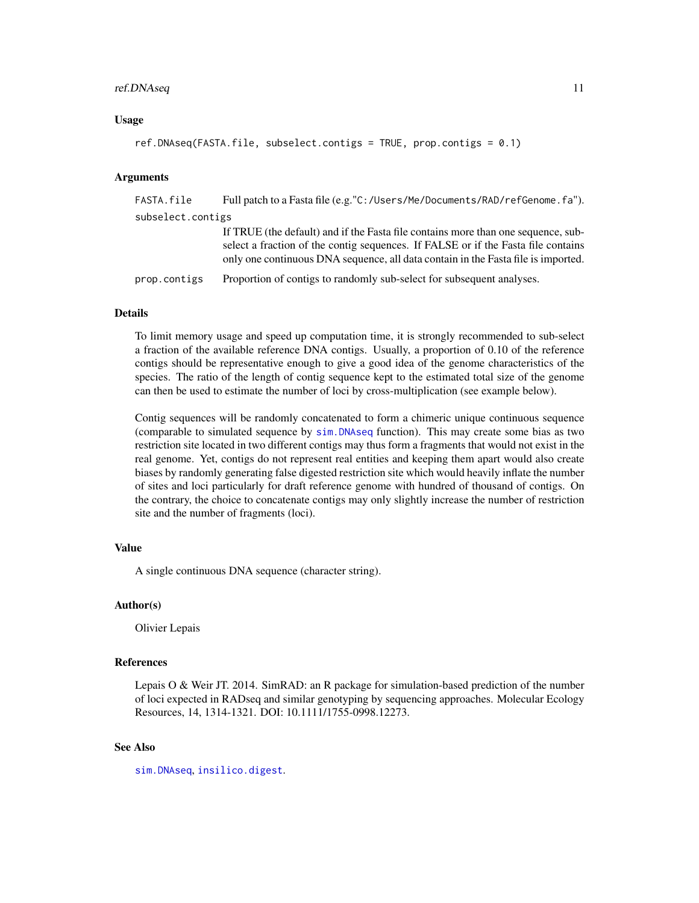#### <span id="page-10-0"></span>ref.DNAseq 11

#### Usage

```
ref.DNAseq(FASTA.file, subselect.contigs = TRUE, prop.contigs = 0.1)
```
#### Arguments

| FASTA.file        | Full patch to a Fasta file (e.g."C:/Users/Me/Documents/RAD/refGenome.fa").                                                                                                                                                                                  |
|-------------------|-------------------------------------------------------------------------------------------------------------------------------------------------------------------------------------------------------------------------------------------------------------|
| subselect.contigs |                                                                                                                                                                                                                                                             |
|                   | If TRUE (the default) and if the Fasta file contains more than one sequence, sub-<br>select a fraction of the contig sequences. If FALSE or if the Fasta file contains<br>only one continuous DNA sequence, all data contain in the Fasta file is imported. |
| prop.contigs      | Proportion of contigs to randomly sub-select for subsequent analyses.                                                                                                                                                                                       |

#### Details

To limit memory usage and speed up computation time, it is strongly recommended to sub-select a fraction of the available reference DNA contigs. Usually, a proportion of 0.10 of the reference contigs should be representative enough to give a good idea of the genome characteristics of the species. The ratio of the length of contig sequence kept to the estimated total size of the genome can then be used to estimate the number of loci by cross-multiplication (see example below).

Contig sequences will be randomly concatenated to form a chimeric unique continuous sequence (comparable to simulated sequence by [sim.DNAseq](#page-11-1) function). This may create some bias as two restriction site located in two different contigs may thus form a fragments that would not exist in the real genome. Yet, contigs do not represent real entities and keeping them apart would also create biases by randomly generating false digested restriction site which would heavily inflate the number of sites and loci particularly for draft reference genome with hundred of thousand of contigs. On the contrary, the choice to concatenate contigs may only slightly increase the number of restriction site and the number of fragments (loci).

#### Value

A single continuous DNA sequence (character string).

#### Author(s)

Olivier Lepais

#### References

Lepais O & Weir JT. 2014. SimRAD: an R package for simulation-based prediction of the number of loci expected in RADseq and similar genotyping by sequencing approaches. Molecular Ecology Resources, 14, 1314-1321. DOI: 10.1111/1755-0998.12273.

#### See Also

[sim.DNAseq](#page-11-1), [insilico.digest](#page-7-1).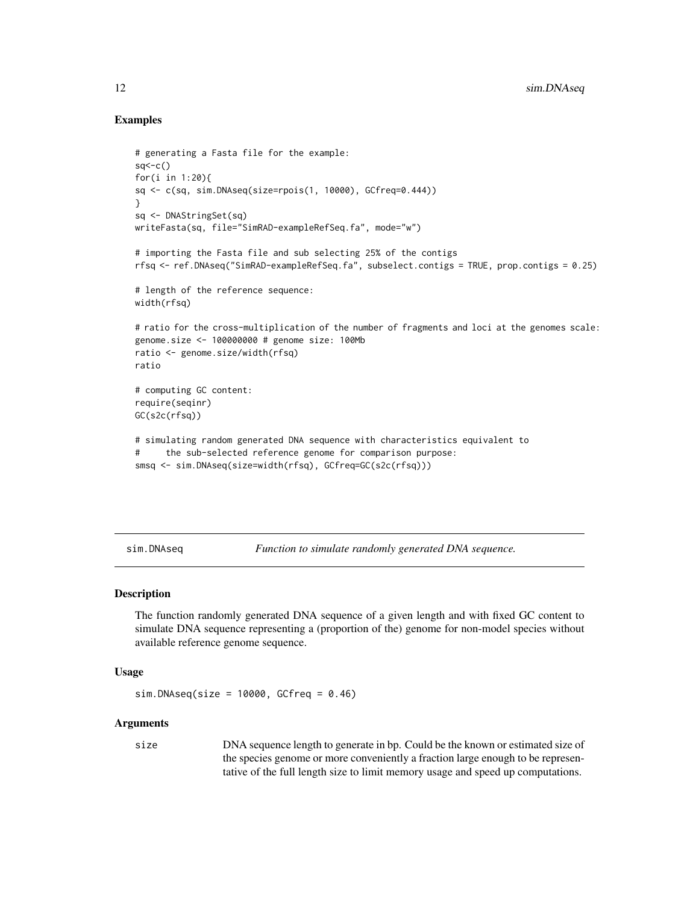#### Examples

```
# generating a Fasta file for the example:
sq < -c()for(i in 1:20){
sq <- c(sq, sim.DNAseq(size=rpois(1, 10000), GCfreq=0.444))
}
sq <- DNAStringSet(sq)
writeFasta(sq, file="SimRAD-exampleRefSeq.fa", mode="w")
# importing the Fasta file and sub selecting 25% of the contigs
rfsq <- ref.DNAseq("SimRAD-exampleRefSeq.fa", subselect.contigs = TRUE, prop.contigs = 0.25)
# length of the reference sequence:
width(rfsq)
# ratio for the cross-multiplication of the number of fragments and loci at the genomes scale:
genome.size <- 100000000 # genome size: 100Mb
ratio <- genome.size/width(rfsq)
ratio
# computing GC content:
require(seqinr)
GC(s2c(rfsq))
# simulating random generated DNA sequence with characteristics equivalent to
# the sub-selected reference genome for comparison purpose:
smsq <- sim.DNAseq(size=width(rfsq), GCfreq=GC(s2c(rfsq)))
```
<span id="page-11-1"></span>sim.DNAseq *Function to simulate randomly generated DNA sequence.*

#### Description

The function randomly generated DNA sequence of a given length and with fixed GC content to simulate DNA sequence representing a (proportion of the) genome for non-model species without available reference genome sequence.

#### Usage

```
sim.DNAseq(size = 10000, GCFreq = 0.46)
```
#### Arguments

size DNA sequence length to generate in bp. Could be the known or estimated size of the species genome or more conveniently a fraction large enough to be representative of the full length size to limit memory usage and speed up computations.

<span id="page-11-0"></span>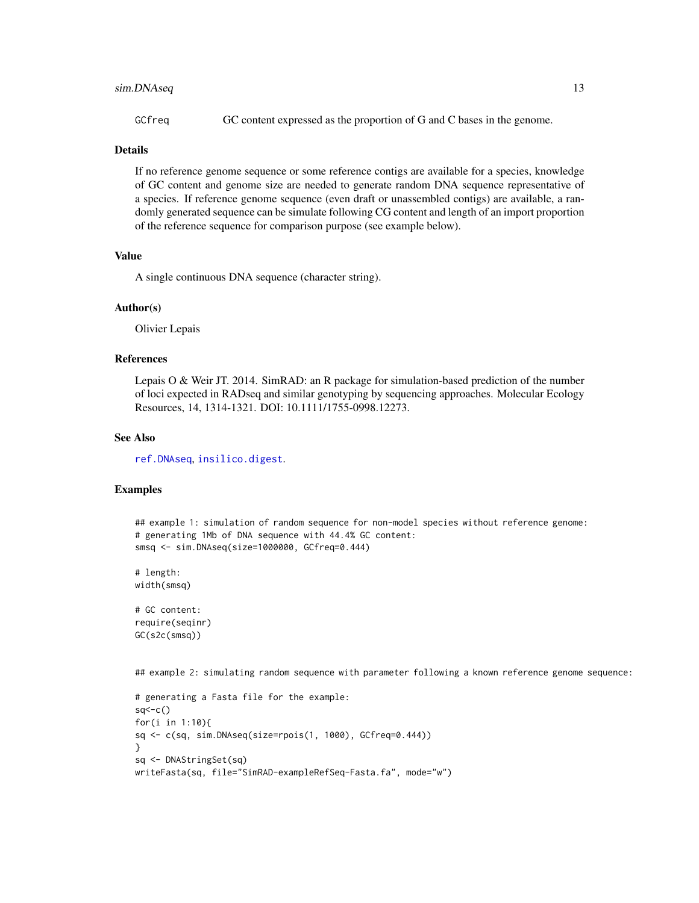#### <span id="page-12-0"></span>sim.DNAseq 13

GCfreq GC content expressed as the proportion of G and C bases in the genome.

#### Details

If no reference genome sequence or some reference contigs are available for a species, knowledge of GC content and genome size are needed to generate random DNA sequence representative of a species. If reference genome sequence (even draft or unassembled contigs) are available, a randomly generated sequence can be simulate following CG content and length of an import proportion of the reference sequence for comparison purpose (see example below).

#### Value

A single continuous DNA sequence (character string).

#### Author(s)

Olivier Lepais

#### References

Lepais O & Weir JT. 2014. SimRAD: an R package for simulation-based prediction of the number of loci expected in RADseq and similar genotyping by sequencing approaches. Molecular Ecology Resources, 14, 1314-1321. DOI: 10.1111/1755-0998.12273.

#### See Also

[ref.DNAseq](#page-9-1), [insilico.digest](#page-7-1).

#### Examples

```
## example 1: simulation of random sequence for non-model species without reference genome:
# generating 1Mb of DNA sequence with 44.4% GC content:
smsq <- sim.DNAseq(size=1000000, GCfreq=0.444)
# length:
width(smsq)
# GC content:
require(seqinr)
GC(s2c(smsq))
## example 2: simulating random sequence with parameter following a known reference genome sequence:
# generating a Fasta file for the example:
sq < -c()for(i in 1:10){
sq <- c(sq, sim.DNAseq(size=rpois(1, 1000), GCfreq=0.444))
}
sq <- DNAStringSet(sq)
writeFasta(sq, file="SimRAD-exampleRefSeq-Fasta.fa", mode="w")
```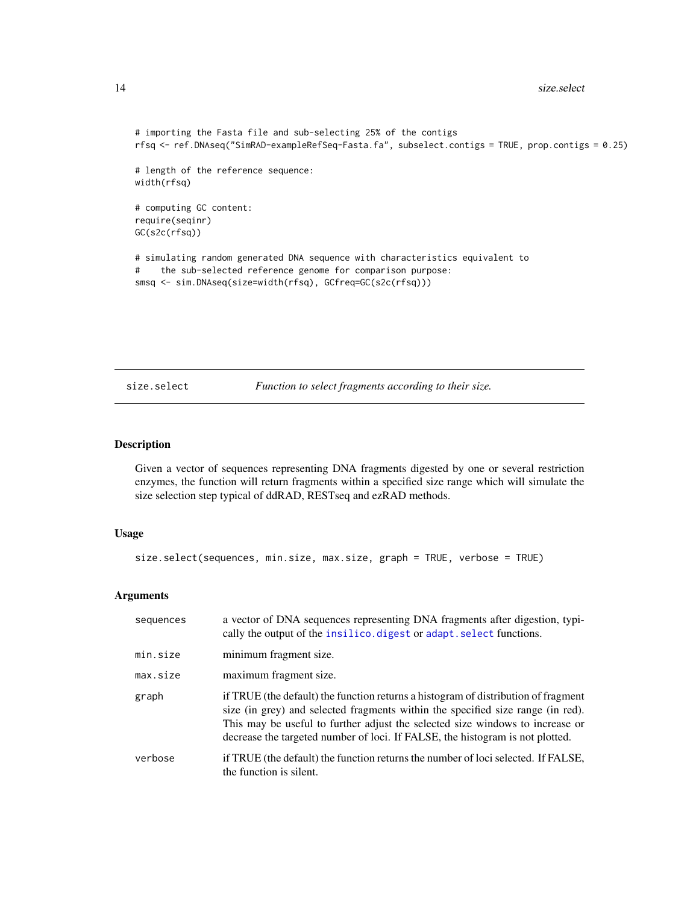```
# importing the Fasta file and sub-selecting 25% of the contigs
rfsq <- ref.DNAseq("SimRAD-exampleRefSeq-Fasta.fa", subselect.contigs = TRUE, prop.contigs = 0.25)
# length of the reference sequence:
width(rfsq)
# computing GC content:
require(seqinr)
GC(s2c(rfsq))
# simulating random generated DNA sequence with characteristics equivalent to
# the sub-selected reference genome for comparison purpose:
smsq <- sim.DNAseq(size=width(rfsq), GCfreq=GC(s2c(rfsq)))
```
<span id="page-13-1"></span>size.select *Function to select fragments according to their size.*

#### Description

Given a vector of sequences representing DNA fragments digested by one or several restriction enzymes, the function will return fragments within a specified size range which will simulate the size selection step typical of ddRAD, RESTseq and ezRAD methods.

#### Usage

size.select(sequences, min.size, max.size, graph = TRUE, verbose = TRUE)

#### Arguments

| sequences | a vector of DNA sequences representing DNA fragments after digestion, typi-<br>cally the output of the insilico. digest or adapt. select functions.                                                                                                                                                                                     |
|-----------|-----------------------------------------------------------------------------------------------------------------------------------------------------------------------------------------------------------------------------------------------------------------------------------------------------------------------------------------|
| min.size  | minimum fragment size.                                                                                                                                                                                                                                                                                                                  |
| max.size  | maximum fragment size.                                                                                                                                                                                                                                                                                                                  |
| graph     | if TRUE (the default) the function returns a histogram of distribution of fragment<br>size (in grey) and selected fragments within the specified size range (in red).<br>This may be useful to further adjust the selected size windows to increase or<br>decrease the targeted number of loci. If FALSE, the histogram is not plotted. |
| verbose   | if TRUE (the default) the function returns the number of loci selected. If FALSE,<br>the function is silent.                                                                                                                                                                                                                            |

<span id="page-13-0"></span>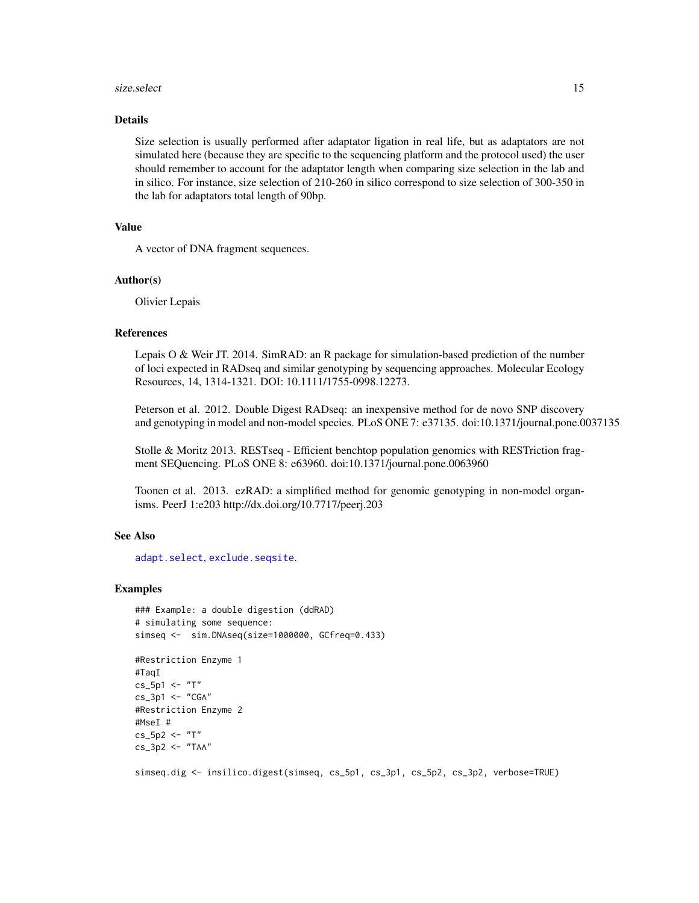#### <span id="page-14-0"></span>size.select 15

#### Details

Size selection is usually performed after adaptator ligation in real life, but as adaptators are not simulated here (because they are specific to the sequencing platform and the protocol used) the user should remember to account for the adaptator length when comparing size selection in the lab and in silico. For instance, size selection of 210-260 in silico correspond to size selection of 300-350 in the lab for adaptators total length of 90bp.

#### Value

A vector of DNA fragment sequences.

#### Author(s)

Olivier Lepais

#### References

Lepais O & Weir JT. 2014. SimRAD: an R package for simulation-based prediction of the number of loci expected in RADseq and similar genotyping by sequencing approaches. Molecular Ecology Resources, 14, 1314-1321. DOI: 10.1111/1755-0998.12273.

Peterson et al. 2012. Double Digest RADseq: an inexpensive method for de novo SNP discovery and genotyping in model and non-model species. PLoS ONE 7: e37135. doi:10.1371/journal.pone.0037135

Stolle & Moritz 2013. RESTseq - Efficient benchtop population genomics with RESTriction fragment SEQuencing. PLoS ONE 8: e63960. doi:10.1371/journal.pone.0063960

Toonen et al. 2013. ezRAD: a simplified method for genomic genotyping in non-model organisms. PeerJ 1:e203 http://dx.doi.org/10.7717/peerj.203

#### See Also

[adapt.select](#page-2-1), [exclude.seqsite](#page-4-1).

#### Examples

```
### Example: a double digestion (ddRAD)
# simulating some sequence:
simseq <- sim.DNAseq(size=1000000, GCfreq=0.433)
```

```
#Restriction Enzyme 1
#TaqI
cs_5p1 < - "T"
cs_3p1 < - "CGA"
#Restriction Enzyme 2
#MseI #
cs_5p2 < - "T"
cs_3p2 <- "TAA"
```
simseq.dig <- insilico.digest(simseq, cs\_5p1, cs\_3p1, cs\_5p2, cs\_3p2, verbose=TRUE)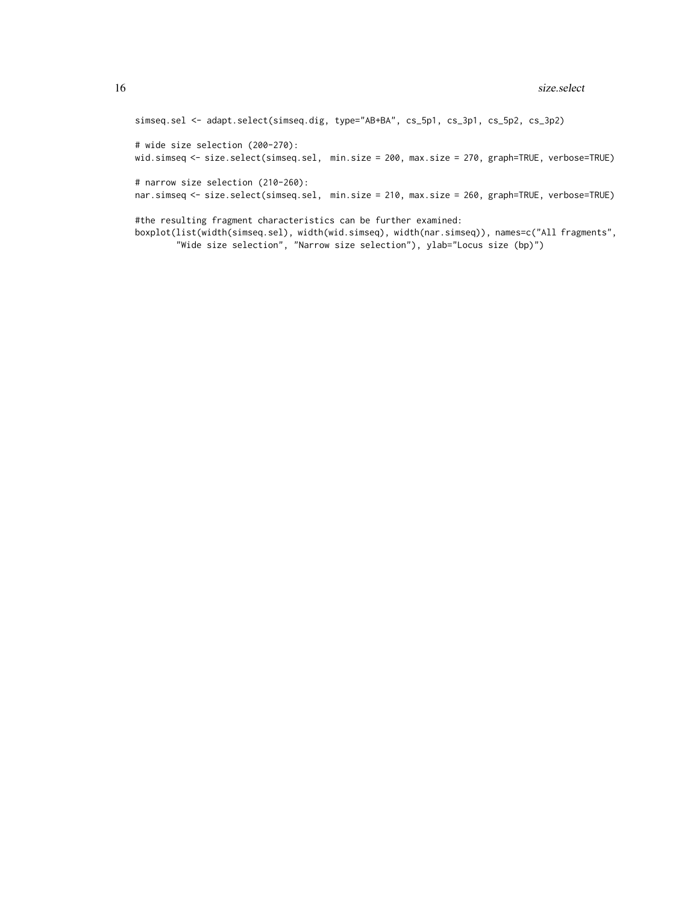simseq.sel <- adapt.select(simseq.dig, type="AB+BA", cs\_5p1, cs\_3p1, cs\_5p2, cs\_3p2)

# wide size selection (200-270): wid.simseq <- size.select(simseq.sel, min.size = 200, max.size = 270, graph=TRUE, verbose=TRUE)

# narrow size selection (210-260): nar.simseq <- size.select(simseq.sel, min.size = 210, max.size = 260, graph=TRUE, verbose=TRUE)

#the resulting fragment characteristics can be further examined: boxplot(list(width(simseq.sel), width(wid.simseq), width(nar.simseq)), names=c("All fragments", "Wide size selection", "Narrow size selection"), ylab="Locus size (bp)")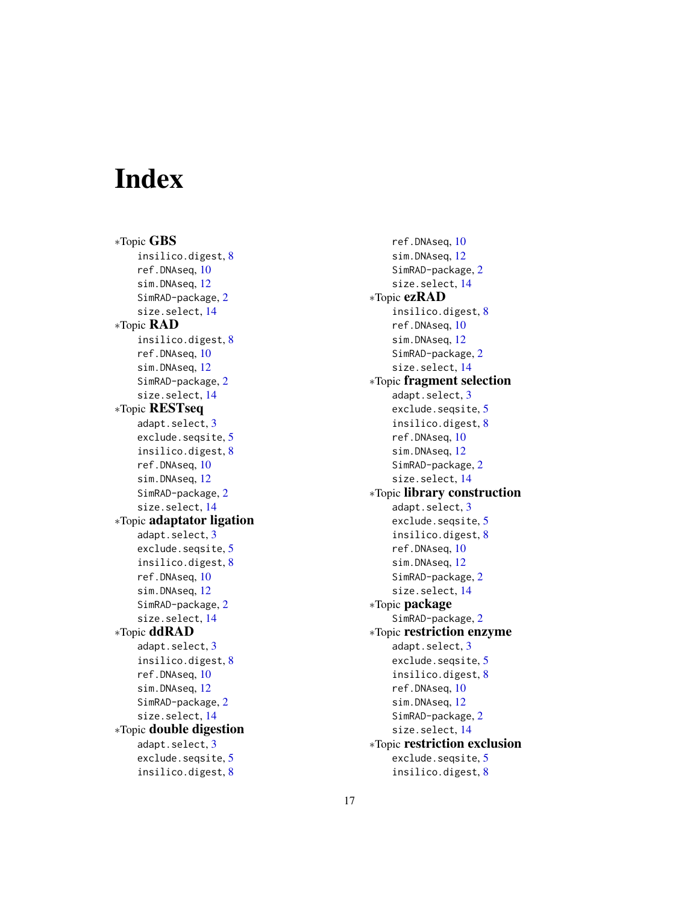# <span id="page-16-0"></span>Index

∗Topic GBS insilico.digest, [8](#page-7-0) ref.DNAseq, [10](#page-9-0) sim.DNAseq, [12](#page-11-0) SimRAD-package, [2](#page-1-0) size.select, [14](#page-13-0) ∗Topic RAD insilico.digest, [8](#page-7-0) ref.DNAseq, [10](#page-9-0) sim.DNAseq, [12](#page-11-0) SimRAD-package, [2](#page-1-0) size.select, [14](#page-13-0) ∗Topic RESTseq adapt.select, [3](#page-2-0) exclude.seqsite, [5](#page-4-0) insilico.digest, [8](#page-7-0) ref.DNAseq, [10](#page-9-0) sim.DNAseq, [12](#page-11-0) SimRAD-package, [2](#page-1-0) size.select, [14](#page-13-0) ∗Topic adaptator ligation adapt.select, [3](#page-2-0) exclude.seqsite, [5](#page-4-0) insilico.digest, [8](#page-7-0) ref.DNAseq, [10](#page-9-0) sim.DNAseq, [12](#page-11-0) SimRAD-package, [2](#page-1-0) size.select, [14](#page-13-0) ∗Topic ddRAD adapt.select, [3](#page-2-0) insilico.digest, [8](#page-7-0) ref.DNAseq, [10](#page-9-0) sim.DNAseq, [12](#page-11-0) SimRAD-package, [2](#page-1-0) size.select, [14](#page-13-0) ∗Topic double digestion adapt.select, [3](#page-2-0) exclude.seqsite, [5](#page-4-0) insilico.digest, [8](#page-7-0)

ref.DNAseq, [10](#page-9-0) sim.DNAseq, [12](#page-11-0) SimRAD-package, [2](#page-1-0) size.select, [14](#page-13-0) ∗Topic ezRAD insilico.digest, [8](#page-7-0) ref.DNAseq, [10](#page-9-0) sim.DNAseq, [12](#page-11-0) SimRAD-package, [2](#page-1-0) size.select, [14](#page-13-0) ∗Topic fragment selection adapt.select, [3](#page-2-0) exclude.seqsite, [5](#page-4-0) insilico.digest, [8](#page-7-0) ref.DNAseq, [10](#page-9-0) sim.DNAseq, [12](#page-11-0) SimRAD-package, [2](#page-1-0) size.select, [14](#page-13-0) ∗Topic library construction adapt.select, [3](#page-2-0) exclude.seqsite, [5](#page-4-0) insilico.digest, [8](#page-7-0) ref.DNAseq, [10](#page-9-0) sim.DNAseq, [12](#page-11-0) SimRAD-package, [2](#page-1-0) size.select, [14](#page-13-0) ∗Topic package SimRAD-package, [2](#page-1-0) ∗Topic restriction enzyme adapt.select, [3](#page-2-0) exclude.seqsite, [5](#page-4-0) insilico.digest, [8](#page-7-0) ref.DNAseq, [10](#page-9-0) sim.DNAseq, [12](#page-11-0) SimRAD-package, [2](#page-1-0) size.select, [14](#page-13-0) ∗Topic restriction exclusion exclude.seqsite, [5](#page-4-0) insilico.digest, [8](#page-7-0)